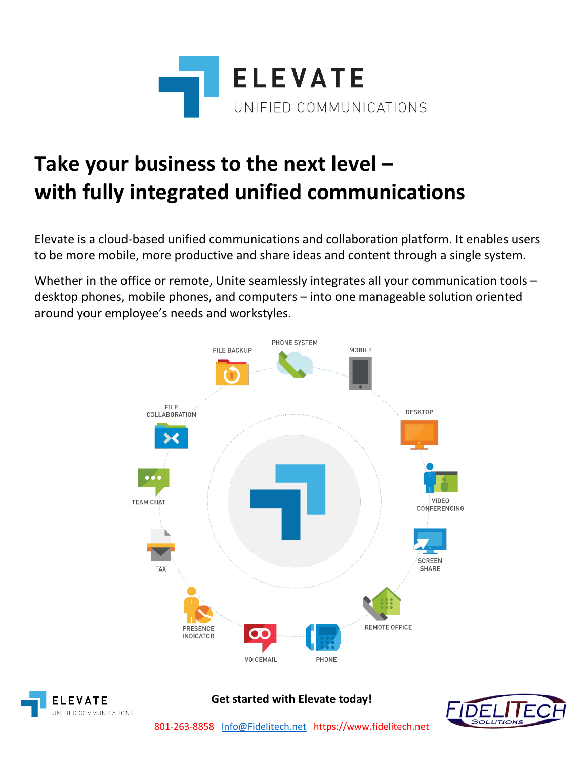

# **Take your business to the next level – with fully integrated unified communications**

Elevate is a cloud-based unified communications and collaboration platform. It enables users to be more mobile, more productive and share ideas and content through a single system.

Whether in the office or remote, Unite seamlessly integrates all your communication tools – desktop phones, mobile phones, and computers – into one manageable solution oriented around your employee's needs and workstyles.





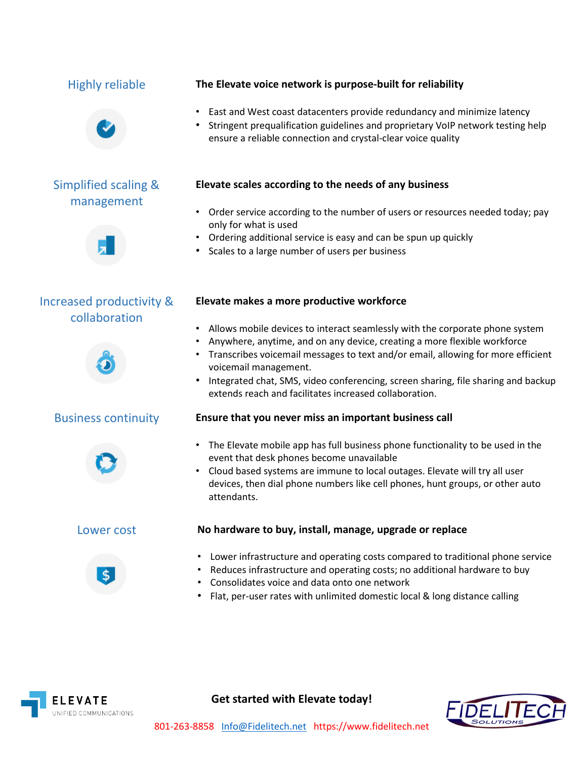

## Simplified scaling & management



## Increased productivity & collaboration







## Highly reliable **The Elevate voice network is purpose-built for reliability**

- East and West coast datacenters provide redundancy and minimize latency
- Stringent prequalification guidelines and proprietary VoIP network testing help ensure a reliable connection and crystal-clear voice quality

## **Elevate scales according to the needs of any business**

- Order service according to the number of users or resources needed today; pay only for what is used
- Ordering additional service is easy and can be spun up quickly
- Scales to a large number of users per business

### **Elevate makes a more productive workforce**

- Allows mobile devices to interact seamlessly with the corporate phone system
- Anywhere, anytime, and on any device, creating a more flexible workforce
- Transcribes voicemail messages to text and/or email, allowing for more efficient voicemail management.
- Integrated chat, SMS, video conferencing, screen sharing, file sharing and backup extends reach and facilitates increased collaboration.

## Business continuity **Ensure that you never miss an important business call**

- The Elevate mobile app has full business phone functionality to be used in the event that desk phones become unavailable
- Cloud based systems are immune to local outages. Elevate will try all user devices, then dial phone numbers like cell phones, hunt groups, or other auto attendants.

## Lower cost **No hardware to buy, install, manage, upgrade or replace**

- Lower infrastructure and operating costs compared to traditional phone service
- Reduces infrastructure and operating costs; no additional hardware to buy
- Consolidates voice and data onto one network
- Flat, per-user rates with unlimited domestic local & long distance calling



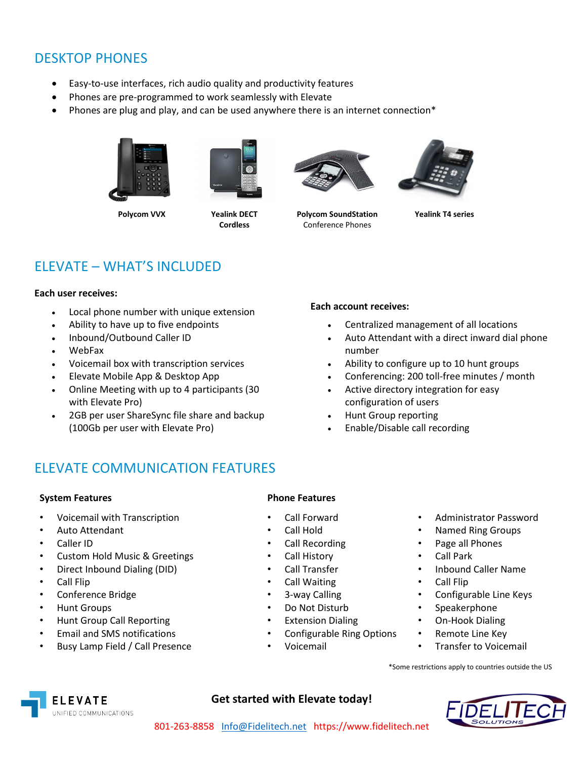## DESKTOP PHONES

- Easy-to-use interfaces, rich audio quality and productivity features
- Phones are pre-programmed to work seamlessly with Elevate
- Phones are plug and play, and can be used anywhere there is an internet connection\*





 **Polycom VVX Yealink DECT Cordless**



**Polycom SoundStation** Conference Phones



**Yealink T4 series**

## ELEVATE – WHAT'S INCLUDED

### **Each user receives:**

- Local phone number with unique extension
- Ability to have up to five endpoints
- Inbound/Outbound Caller ID
- WebFax
- Voicemail box with transcription services
- Elevate Mobile App & Desktop App
- Online Meeting with up to 4 participants (30 with Elevate Pro)
- 2GB per user ShareSync file share and backup (100Gb per user with Elevate Pro)

#### **Each account receives:**

- Centralized management of all locations
- Auto Attendant with a direct inward dial phone number
- Ability to configure up to 10 hunt groups
- Conferencing: 200 toll-free minutes / month
- Active directory integration for easy configuration of users
- Hunt Group reporting
- Enable/Disable call recording

## ELEVATE COMMUNICATION FEATURES

### **System Features Phone Features**

- Voicemail with Transcription Call Forward Administrator Password
- 
- 
- Custom Hold Music & Greetings Call History Call Park
- Direct Inbound Dialing (DID) Call Transfer Inbound Caller Name
- 
- 
- 
- Hunt Group Call Reporting Extension Dialing On-Hook Dialing
- Email and SMS notifications Configurable Ring Options Remote Line Key
- Busy Lamp Field / Call Presence Voicemail Transfer to Voicemail

- 
- 
- 
- 
- 
- Call Flip Call Waiting Call Flip
	-
	-
	-
	-
	-
- 
- Auto Attendant Call Hold Named Ring Groups
- Caller ID Call Recording Page all Phones
	-
	-
	-
- Conference Bridge 3-way Calling Configurable Line Keys
- Hunt Groups Do Not Disturb Speakerphone
	-
	-
	-

\*Some restrictions apply to countries outside the US





- 
- 
-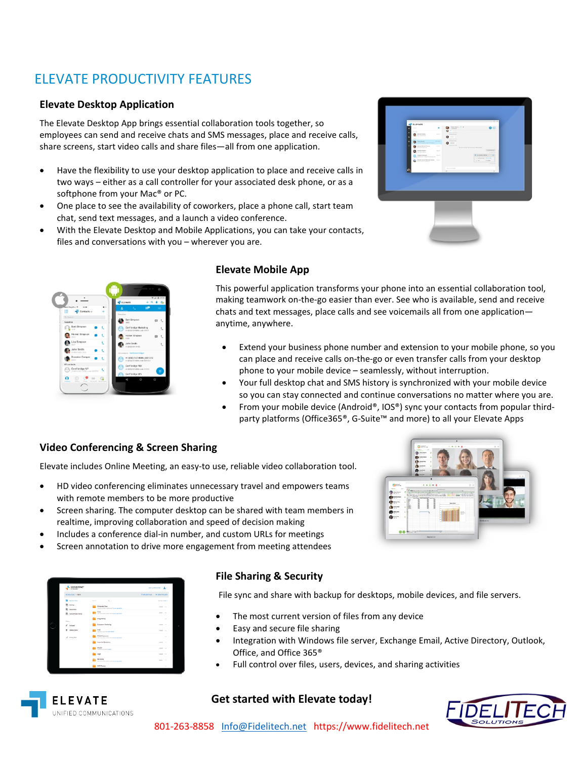## ELEVATE PRODUCTIVITY FEATURES

### **Elevate Desktop Application**

The Elevate Desktop App brings essential collaboration tools together, so employees can send and receive chats and SMS messages, place and receive calls, share screens, start video calls and share files—all from one application.

- Have the flexibility to use your desktop application to place and receive calls in two ways – either as a call controller for your associated desk phone, or as a softphone from your Mac® or PC.
- One place to see the availability of coworkers, place a phone call, start team chat, send text messages, and a launch a video conference.
- With the Elevate Desktop and Mobile Applications, you can take your contacts, files and conversations with you – wherever you are.



## **Elevate Mobile App**

This powerful application transforms your phone into an essential collaboration tool, making teamwork on-the-go easier than ever. See who is available, send and receive chats and text messages, place calls and see voicemails all from one application anytime, anywhere.

- Extend your business phone number and extension to your mobile phone, so you can place and receive calls on-the-go or even transfer calls from your desktop phone to your mobile device – seamlessly, without interruption.
- Your full desktop chat and SMS history is synchronized with your mobile device so you can stay connected and continue conversations no matter where you are.
- From your mobile device (Android®, IOS®) sync your contacts from popular thirdparty platforms (Office365®, G-Suite™ and more) to all your Elevate Apps

## **Video Conferencing & Screen Sharing**

Elevate includes Online Meeting, an easy-to use, reliable video collaboration tool.

- HD video conferencing eliminates unnecessary travel and empowers teams with remote members to be more productive
- Screen sharing. The computer desktop can be shared with team members in realtime, improving collaboration and speed of decision making
- Includes a conference dial-in number, and custom URLs for meetings
- Screen annotation to drive more engagement from meeting attendees



UNIFIED COMMUNICATIONS

## **File Sharing & Security**

File sync and share with backup for desktops, mobile devices, and file servers.

- The most current version of files from any device
- Easy and secure file sharing
- Integration with Windows file server, Exchange Email, Active Directory, Outlook, Office, and Office 365®
- Full control over files, users, devices, and sharing activities